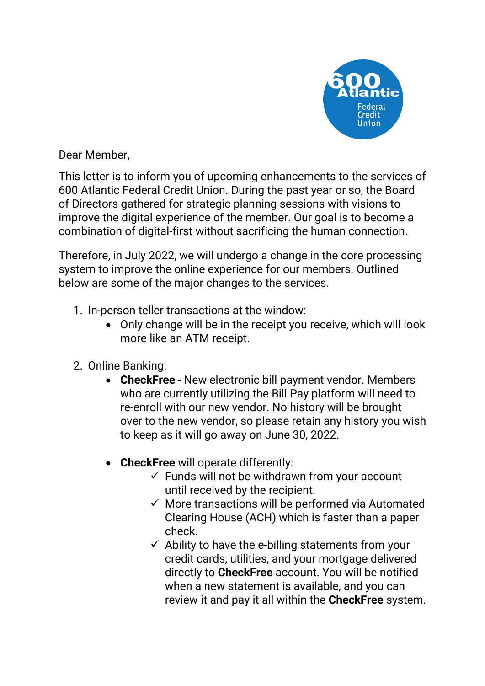

Dear Member,

This letter is to inform you of upcoming enhancements to the services of 600 Atlantic Federal Credit Union. During the past year or so, the Board of Directors gathered for strategic planning sessions with visions to improve the digital experience of the member. Our goal is to become a combination of digital-first without sacrificing the human connection.

Therefore, in July 2022, we will undergo a change in the core processing system to improve the online experience for our members. Outlined below are some of the major changes to the services.

- 1. In-person teller transactions at the window:
	- Only change will be in the receipt you receive, which will look more like an ATM receipt.
- 2. Online Banking:
	- **CheckFree** New electronic bill payment vendor. Members who are currently utilizing the Bill Pay platform will need to re-enroll with our new vendor. No history will be brought over to the new vendor, so please retain any history you wish to keep as it will go away on June 30, 2022.
	- **CheckFree** will operate differently:
		- $\checkmark$  Funds will not be withdrawn from your account until received by the recipient.
		- $\checkmark$  More transactions will be performed via Automated Clearing House (ACH) which is faster than a paper check.
		- $\checkmark$  Ability to have the e-billing statements from your credit cards, utilities, and your mortgage delivered directly to **CheckFree** account. You will be notified when a new statement is available, and you can review it and pay it all within the **CheckFree** system.